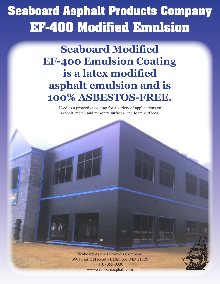## **Seaboard Asphalt Products Company EF-400 Modified Emulsion**

**Seaboard Modified EF-400 Emulsion Coating is a latex modified asphalt emulsion and is 100% ASBESTOS-FREE.** 

> Used as a protective coating for a variety of applications on asphalt, metal, and masonry surfaces, and foam surfaces.

> > Seaboard Asphalt Products Company 3601 Fairfield Road • Baltimore, MD 21226 (410) 355-0330 www.seaboardasphalt.com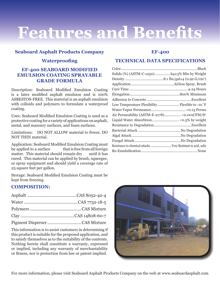# **Features and Benefits**

## **Seaboard Asphalt Products Company**

## **Waterproofing**

### **EF-400 SEABOARD MODIFIED EMULSION COATING SPRAYABLE GRADE FORMULA**

Description: Seaboard Modified Emulsion Coating is a latex modified asphalt emulsion and is 100% ASBESTOS-FREE. This material is an asphalt emulsion with colloids and polymers to formulate a waterproof coating.

Uses: Seaboard Modified Emulsion Coating is used as a protective coating for a variety of applications on asphalt, metal, and masonry surfaces, and foam surfaces.

Limitations: DO NOT ALLOW material to freeze. DO NOT THIN material.

Application: Seaboard Modified Emulsion Coating must be applied to a surface that is free from all foreign matter. This material should remain dry until it has cured. This material can be applied by brush, squeegee, or spray equipment and should yield a coverage rate of 25 square feet per gallon.

Storage: Seaboard Modified Emulsion Coating must be kept from freezing.

## **COMPOSITION:**

This information is to assist customers in determining if this product is suitable for the proposed application, and to satisfy themselves as to the suitability of the contents. Nothing herein shall constitute a warranty, expressed or implied, including any warranty of merchantability or fitness, nor is protection from law or patent implied.

### **EF-400**

### **TECHNICAL DATA SPECIFICATIONS**

| Solids (%) (ASTM-C-1250) 64±3% Min by Weight            |  |
|---------------------------------------------------------|--|
|                                                         |  |
|                                                         |  |
|                                                         |  |
|                                                         |  |
|                                                         |  |
| Low Temperature Flexibility Flexible to -10°F           |  |
|                                                         |  |
| Air Permeability (ASTM-E-2178)<0.001CFM/ft <sup>2</sup> |  |
|                                                         |  |
|                                                         |  |
|                                                         |  |
|                                                         |  |
|                                                         |  |
|                                                         |  |
|                                                         |  |
|                                                         |  |



For more information, please visit Seaboard Asphalt Products Company on the web at www.seaboardasphalt.com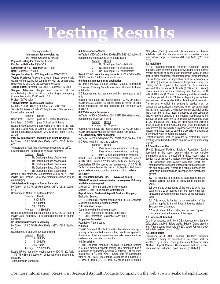## **Testing Results**

Testing provided by: **Momentum Technologies, Inc** (full report available by request)

**Physical Testing for:** Seaboard Asphalt **For Accreditation by:** ICC AC-29

**Sample ID**: EF 400 **Report #:** ESR-1490

**Date:** December 12, 2005

**Sample:** Received 9/15/05 Logged in as MTi-050826 **Testing Provided:** Analysis of a water-based, below grade waterproofing coating for compliance with the performance requirements of ICC AC-29 acceptance criteria.

**Testing Dates:** November 03, 2005 - December 15, 2005 **Sample Selection:** Sample was selected at the manufacturing site by an IAS accredited inspection agency in accordance with AC-85 section 3.1

**Project ID:** TX03L5A

#### **1.0 Hydrostatic Pressure over Cracks**

by: Table 1 of ICC AC-29 (Feb 2004) - ASTM C 1306 Sample Thickness  $\pm 5$  mils ICC Requirement: Fifty percent of lowest value received.

#### Sample Result

Rapid Test: 0.0575in pass @ 7.5 psi for 15 minutes Long Term:  $0.0575$ in pass @ 5 psi for 48 hours Result: EF400 achieves a pass value of 3.75psi in the rapid test and a pass value of 2.5psi in the long term test, when tested in accordance with ASTM C 1306 per Table 1 of ICC AC-29

#### **2.0 Low-Temperature Flexibility and Crack Bridging**

by: Table 1 of ICC AC-29 (Feb 2004) - ASTM C836, Section 6.7

Temperature of Test: The testing was conducted at -26˚C. ICC Requirement: No cracking or loss of adhesion.

#### Sample Result

- 1 No Cracking or Loss of Adhesion
- 2 No Cracking or Loss of Adhesion<br>3 No Cracking or Loss of Adhesion
- No Cracking or Loss of Adhesion
- 4 No Cracking or Loss of Adhesion
- 5 No Cracking or Loss of Adhesion

Result: EF400 meets the requirements of ICC AC-29, Table (ASTM C836, section 6.7) for low-temperature flexibility and crackbridging.

#### **3.0 Adhesion Strength to Poured Concrete**

by: Table 1 of ICC AC-29 (Feb 2004) - ASTM C836, Section 6.10

Requirement: 1lbf/in. on surfaces desired

- Sample Result
- 1 15.808 lbf/in<br>2 13.728 lbf/in
	- 2 13.728 lbf/in
- 3 10.182 lbf/in
- Average 13.239 lbf/in

Result: EF400 meets the requirements of ICC AC-29, Table 1 (ASTM C836, Section 6.10) for adhesion strength to poured concrete.

#### **3.1 Adhesion Strength to Masonry**

by: Table 1 of ICC AC-29 (Feb 2004) - ASTM C386, Section 6.10

Requirement: 1 blf/in. on surfaces desired

- Sample Result
- 1 14.166 lbf/in
- 2 14.150 lbf/in
- 3 7.960 lbf/in
- Average 12.092 lbf/in

Result: EF400 meets the requirements of ICC AC-29, Table 1 (ASTM C386m Section 6.10) for adhesion strength to masonry.

#### Testing Results (continued)

#### **4.0 Resistance to Water**

by Table 1 of ICC AC-29 (Feb 2004) ASTM D2939, Section 15 Requirement: No blistering or re-emulsification

- Sample Result<br>1 No Blisterin
	- No Blistering or Re-Emulsification
- 2 No Blistering or Re-Emulsification
- 3 No Blistering or Re-Emulsification

Result: EF400 meets the requirements of ICC AC-29 (ASTM D2939, Section 15) for resistance to water.

#### **5.0 Remain in place during application**

by Table 1 of ICC AC-29 (Feb 2004) ASTM C836, Section 6.9) Thickness of Testing: Sample was tested at a wet thickness of 60 mils.

ICC Requirement: As recommended by manufacturer  $\pm$  5 mils

Result: EF400 meets the requirements of ICC AC-29, Table 1 (ASTM D2939, Section 15) for the ability to remain in place during application. The final thickness after 24 hours was 0.0162 in.

#### **6.0 Water Vapor Permeance**

by Table 1 of ICC AC-29 (Feb 2004) ASTM E96, Water Method Requirement: Maximum 1 perm

Sample Result

Average 0.138 perms

Result: EF400 meets the requirements of ICC AC-29, Table 1 (ASTM E96, Water Method) for Water Vapor Permeance.

#### **7.0 Extensibility after heat aging**

by Table 1 of ICC AC-29 (Feb 2004) ASTM C836, Section 6.12 ICC Requirement: ¼ inch, no cracking

#### Sample Result

- 1 Pass  $\frac{1}{4}$  inch stretch with no cracking<br>2 Pass  $\frac{1}{4}$  inch stretch with no cracking
- Pass 1/4 inch stretch with no cracking
- 3 Pass ¼ inch stretch with no cracking

Result: EF400 meets the requirements of AC 29, Table 1 (ASTM C836, Section 6.12) for extensibility after heat aging. **Conclusion:** EF 400 passes the requirements of ICC AC-29 Table 1 for acceptance criteria of a cold, liquid applied, below grade, exterior damp proofing or waterproofing material. **ES Report**

**ICC Evaluation Service, Inc. www.icc-es.org ESR-1490 subject to re-evaluation in two years. Full copy available upon request.**

Division: 07 - Thermal and Moisture Protection

Section 07140 - Fluid Applied Waterproofing

#### **Report Holder: Seaboard Asphalt Products Company** Evaluation Subject:

LN-16 Clippership Polymer Modified and EF-400 Seaboard Modified Emulsion Foundation Coating

#### **1.0 Evaluation Scope**

Compliance with the following codes:

- 2006 International Building Code® (IBC)
- 2006 Internation Residential Code® (IRC)

#### **Properties Evaluated:**

#### Foundation Waterproofing

**2.0 Uses**

EF-400 Seaboard Modified Emulsion Foundation Coating is a spray or fluid applied waterproofing membrane applied to the exterior of foundation walls of concrete masonry units or cast-in-place concrete construction.

#### **3.0 Description**

EF-400 Seaboard Modified Emulsion Foundation Coating is a latex modified asphalt coating. The membrane has a resistance to hydrostatic pressure of 2.0psig (14kPa) when tested over a  $1/16$  inch wide (1.6mm) crack in accordance with ASTM C 1306. The coating is supplied in 1-gallon (3.8 L) cans, 5-gallon (18.9 L) pails, 55-gallon (208 L) drums,

275 gallon (1041 L) totes and bulk containers, and has an indefinite shelf life. Manufacturer's recommended storage temperature range is between 70˚F and 140˚F (21˚C and 60˚C).

#### **4.0 Installation**

EF-400 Seaboard Modified Emulsion Foundation Coating is brush, roller or spray applied in two coats to the exterior verticle surfaces of below grade foundation walls of either cast-in-place concrete or concrete masonry unit construction. The air temperature for application must be a minimum of 40˚F (4.4˚C) (there is no maximum temperature limit). The coating shall be applied in two equal coats to a minimum total wet film thickness of 60 mils (0.060 inch) (1.52mm), which cures to a minimum total dry film thickness of 40 mils (0.040 inch) (1.02mm). The coating shall be allowed to cure for a period of 4 to 24 hours, depending on ambient temperature, before any backfill is placed against the wall.

The surface to which the coating is applied must be structurally sound, clean, and dry, and free of dust, mud, loose mortar, sand, soil, frost, or other loose materials. Additionally, there must be no fins, metal projections or any substance that will prevent bonding of the coating membranes to the surface. Voids in concrete, tie holes and honeycombed areas in the foundation wall must be filled with non-shrinking grout is used for filling voids, the grout must be allowed to cure before the membrane is applied. Concrete and parged masonry surfaces must be cured and dry prior to application of the liquid water-proofing membrane.

Protection boards shall be provided to protect the waterproofing when backfill contains angular stone or other sharp objects.

#### **5.0 Conditions of Use**

EF-400 Seaboard Modified Emulsion Foundation Coating described in this report comply with, or are suitable alternatives to what is specified in, those codes listed in Section 1.0 of this report, subject to the following conditions.

**5.1** Installation shall comply with this report, the manufacturer's published installation instructions and the applicable code. If there is a conflict between the installation instructions and this report, this report shall govern.

**5.2** The coatings are limited to applications on the exterior verticle surfaces of below grade foundation walls.

**5.3** Joints and penetrations of the walls to which the coatings are to be applied must be made watertight in accordance with the requirements of the applicable code.

**5.4** This report is limited to an evaluation of the coatings applied to the minimum thickness stated in Section 4.0 of this report.

**5.5** Application of the coating on uncured ("green") concrete is outside the scope of this report.

#### **6.0 Evidence Submitted**

Data in accordance with the ICC-ES Acceptance criteria for Cold, Liquid-applied, Below-grade, Exterior Damp-proofing and Waterproofing Materials (AC29), dated February 2004 (editorially revised January 2008).

#### **7.0 Identification**

Containers of EF-400 Seaboard Modified Emulsion Foundation Coating as described in this report shall be identified by a label bearing the manufacturer's name (Seaboard Asphalt Products Company) and address, product name and the evaluation report number. (ESR-1490)